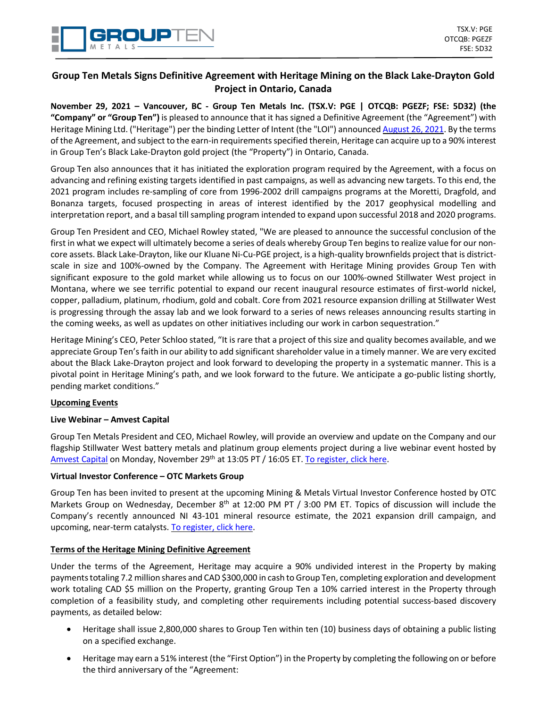# **Group Ten Metals Signs Definitive Agreement with Heritage Mining on the Black Lake-Drayton Gold Project in Ontario, Canada**

November 29, 2021 - Vancouver, BC - Group Ten Metals Inc. (TSX.V: PGE | OTCQB: PGEZF; FSE: 5D32) (the **"Company" or "Group Ten")** is pleased to announce that it has signed a Definitive Agreement (the "Agreement") with Heritage Mining Ltd. ("Heritage") per the binding Letter of Intent (the "LOI") announced [August](https://grouptenmetals.com/news/2021/group-ten-metals-signs-binding-letter-of-intent-on-the-black-lake-drayton-gold-project-in-ontario-canada/) 26, 2021. By the terms of the Agreement, and subject to the earn-in requirementsspecified therein, Heritage can acquire up to a 90% interest in Group Ten's Black Lake-Drayton gold project (the "Property") in Ontario, Canada.

Group Ten also announces that it has initiated the exploration program required by the Agreement, with a focus on advancing and refining existing targets identified in past campaigns, as well as advancing new targets. To this end, the 2021 program includes re-sampling of core from 1996-2002 drill campaigns programs at the Moretti, Dragfold, and Bonanza targets, focused prospecting in areas of interest identified by the 2017 geophysical modelling and interpretation report, and a basal till sampling program intended to expand upon successful 2018 and 2020 programs.

Group Ten President and CEO, Michael Rowley stated, "We are pleased to announce the successful conclusion of the first in what we expect will ultimately become a series of deals whereby Group Ten beginsto realize value for our noncore assets. Black Lake-Drayton, like our Kluane Ni-Cu-PGE project, is a high-quality brownfields project that is districtscale in size and 100%-owned by the Company. The Agreement with Heritage Mining provides Group Ten with significant exposure to the gold market while allowing us to focus on our 100%-owned Stillwater West project in Montana, where we see terrific potential to expand our recent inaugural resource estimates of first-world nickel, copper, palladium, platinum, rhodium, gold and cobalt. Core from 2021 resource expansion drilling at Stillwater West is progressing through the assay lab and we look forward to a series of news releases announcing results starting in the coming weeks, as well as updates on other initiatives including our work in carbon sequestration."

Heritage Mining's CEO, Peter Schloo stated, "It is rare that a project of this size and quality becomes available, and we appreciate Group Ten's faith in our ability to add significant shareholder value in a timely manner. We are very excited about the Black Lake-Drayton project and look forward to developing the property in a systematic manner. This is a pivotal point in Heritage Mining's path, and we look forward to the future. We anticipate a go-public listing shortly, pending market conditions."

### **Upcoming Events**

### **Live Webinar – Amvest Capital**

Group Ten Metals President and CEO, Michael Rowley, will provide an overview and update on the Company and our flagship Stillwater West battery metals and platinum group elements project during a live webinar event hosted by [Amvest](https://vwwlpwyy.r.us-west-2.awstrack.me/L0/https:%2F%2Fwww.amvestcapital.com%2F/1/0101017d5e06fd2d-4f6e48f0-2ac7-4a19-9dd9-6ef940b34c4c-000000/DFUeqvOECZ3GhCS3r_Azl9Czohs=246) Capital on Monday, November 29<sup>th</sup> at 13:05 PT / 16:05 ET. To [register,](https://vwwlpwyy.r.us-west-2.awstrack.me/L0/https:%2F%2Fwww.amvestcapital.com%2Fwebinar-directory%2Fgrouptenmetals112921/1/0101017d5e06fd2d-4f6e48f0-2ac7-4a19-9dd9-6ef940b34c4c-000000/IBTFT8hUfzAxNFJD5j0C_bOpe54=246) click here.

### **Virtual Investor Conference – OTC Markets Group**

Group Ten has been invited to present at the upcoming Mining & Metals Virtual Investor Conference hosted by OTC Markets Group on Wednesday, December 8<sup>th</sup> at 12:00 PM PT / 3:00 PM ET. Topics of discussion will include the Company's recently announced NI 43-101 mineral resource estimate, the 2021 expansion drill campaign, and upcoming, near-term catalysts. To [register,](https://www.virtualinvestorconferences.com/events/event-details/metals-mining-virtual-investor-conference-2?utm_source=Participating+Company&utm_medium=press+release&utm_campaign=128921MiningVIC&utm_id=128921MiningVIC) click here.

### **Terms of the Heritage Mining Definitive Agreement**

Under the terms of the Agreement, Heritage may acquire a 90% undivided interest in the Property by making paymentstotaling 7.2 million shares and CAD \$300,000 in cash toGroup Ten, completing exploration and development work totaling CAD \$5 million on the Property, granting Group Ten a 10% carried interest in the Property through completion of a feasibility study, and completing other requirements including potential success-based discovery payments, as detailed below:

- Heritage shall issue 2,800,000 shares to Group Ten within ten (10) business days of obtaining a public listing on a specified exchange.
- Heritage may earn a 51% interest (the "First Option") in the Property by completing the following on or before the third anniversary of the "Agreement: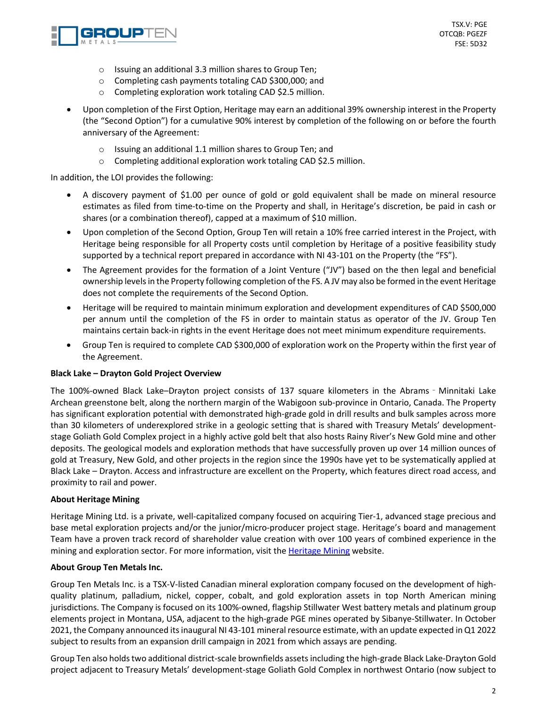

- o Issuing an additional 3.3 million shares to Group Ten;
- o Completing cash payments totaling CAD \$300,000; and
- o Completing exploration work totaling CAD \$2.5 million.
- Upon completion of the First Option, Heritage may earn an additional 39% ownership interest in the Property (the "Second Option") for a cumulative 90% interest by completion of the following on or before the fourth anniversary of the Agreement:
	- o Issuing an additional 1.1 million shares to Group Ten; and
	- o Completing additional exploration work totaling CAD \$2.5 million.

In addition, the LOI provides the following:

- A discovery payment of \$1.00 per ounce of gold or gold equivalent shall be made on mineral resource estimates as filed from time-to-time on the Property and shall, in Heritage's discretion, be paid in cash or shares (or a combination thereof), capped at a maximum of \$10 million.
- Upon completion of the Second Option, Group Ten will retain a 10% free carried interest in the Project, with Heritage being responsible for all Property costs until completion by Heritage of a positive feasibility study supported by a technical report prepared in accordance with NI 43-101 on the Property (the "FS").
- The Agreement provides for the formation of a Joint Venture ("JV") based on the then legal and beneficial ownership levels in the Property following completion of the FS. A JV may also be formed in the event Heritage does not complete the requirements of the Second Option.
- Heritage will be required to maintain minimum exploration and development expenditures of CAD \$500,000 per annum until the completion of the FS in order to maintain status as operator of the JV. Group Ten maintains certain back-in rights in the event Heritage does not meet minimum expenditure requirements.
- Group Ten is required to complete CAD \$300,000 of exploration work on the Property within the first year of the Agreement.

### **Black Lake – Drayton Gold Project Overview**

The 100%-owned Black Lake–Drayton project consists of 137 square kilometers in the Abrams - Minnitaki Lake Archean greenstone belt, along the northern margin of the Wabigoon sub-province in Ontario, Canada. The Property has significant exploration potential with demonstrated high-grade gold in drill results and bulk samples across more than 30 kilometers of underexplored strike in a geologic setting that is shared with Treasury Metals' developmentstage Goliath Gold Complex project in a highly active gold belt that also hosts Rainy River's New Gold mine and other deposits. The geological models and exploration methods that have successfully proven up over 14 million ounces of gold at Treasury, New Gold, and other projects in the region since the 1990s have yet to be systematically applied at Black Lake – Drayton. Access and infrastructure are excellent on the Property, which features direct road access, and proximity to rail and power.

### **About Heritage Mining**

Heritage Mining Ltd. is a private, well-capitalized company focused on acquiring Tier-1, advanced stage precious and base metal exploration projects and/or the junior/micro-producer project stage. Heritage's board and management Team have a proven track record of shareholder value creation with over 100 years of combined experience in the mining and exploration sector. For more information, visit the **[Heritage](https://heritagemining.ca/) Mining website.** 

### **About Group Ten Metals Inc.**

Group Ten Metals Inc. is a TSX-V-listed Canadian mineral exploration company focused on the development of highquality platinum, palladium, nickel, copper, cobalt, and gold exploration assets in top North American mining jurisdictions. The Company is focused on its 100%-owned, flagship Stillwater West battery metals and platinum group elements project in Montana, USA, adjacent to the high-grade PGE mines operated by Sibanye-Stillwater. In October 2021, the Company announced itsinaugural NI 43-101 mineralresource estimate, with an update expected inQ1 2022 subject to results from an expansion drill campaign in 2021 from which assays are pending.

Group Ten also holdstwo additional district-scale brownfields assetsincluding the high-grade Black Lake-Drayton Gold project adjacent to Treasury Metals' development-stage Goliath Gold Complex in northwest Ontario (now subject to